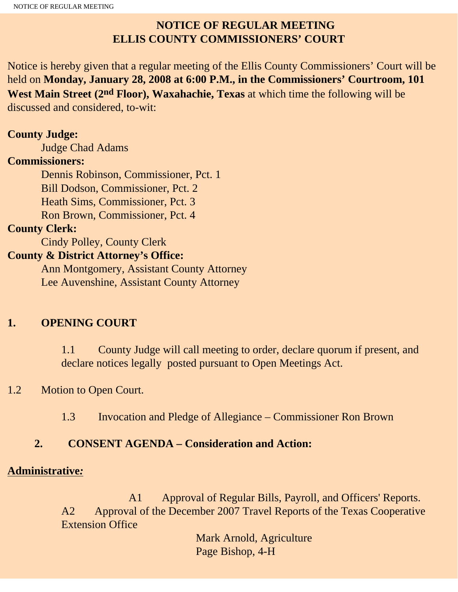## **NOTICE OF REGULAR MEETING ELLIS COUNTY COMMISSIONERS' COURT**

Notice is hereby given that a regular meeting of the Ellis County Commissioners' Court will be held on **Monday, January 28, 2008 at 6:00 P.M., in the Commissioners' Courtroom, 101 West Main Street (2nd Floor), Waxahachie, Texas** at which time the following will be discussed and considered, to-wit:

#### **County Judge:**

Judge Chad Adams

#### **Commissioners:**

 Dennis Robinson, Commissioner, Pct. 1 Bill Dodson, Commissioner, Pct. 2 Heath Sims, Commissioner, Pct. 3 Ron Brown, Commissioner, Pct. 4

#### **County Clerk:**

Cindy Polley, County Clerk

#### **County & District Attorney's Office:**

 Ann Montgomery, Assistant County Attorney Lee Auvenshine, Assistant County Attorney

## **1. OPENING COURT**

1.1 County Judge will call meeting to order, declare quorum if present, and declare notices legally posted pursuant to Open Meetings Act.

## 1.2 Motion to Open Court.

1.3 Invocation and Pledge of Allegiance – Commissioner Ron Brown

## **2. CONSENT AGENDA – Consideration and Action:**

#### **Administrative***:*

 A1 Approval of Regular Bills, Payroll, and Officers' Reports. A2 Approval of the December 2007 Travel Reports of the Texas Cooperative Extension Office

> Mark Arnold, Agriculture Page Bishop, 4-H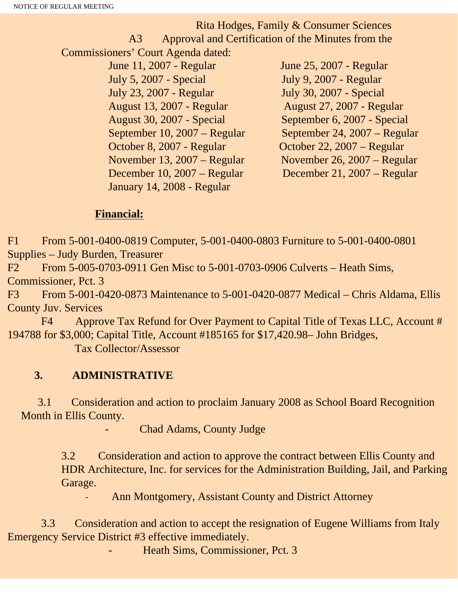Rita Hodges, Family & Consumer Sciences A3 Approval and Certification of the Minutes from the Commissioners' Court Agenda dated: June 11, 2007 - Regular June 25, 2007 - Regular July 5, 2007 - Special July 9, 2007 - Regular July 23, 2007 - Regular July 30, 2007 - Special August 13, 2007 - Regular August 27, 2007 - Regular August 30, 2007 - Special September 6, 2007 - Special

 October 8, 2007 - Regular October 22, 2007 – Regular December 10, 2007 – Regular December 21, 2007 – Regular January 14, 2008 - Regular

 September 10, 2007 – Regular September 24, 2007 – Regular November 13, 2007 – Regular November 26, 2007 – Regular

#### **Financial:**

F1 From 5-001-0400-0819 Computer, 5-001-0400-0803 Furniture to 5-001-0400-0801 Supplies – Judy Burden, Treasurer

F2 From 5-005-0703-0911 Gen Misc to 5-001-0703-0906 Culverts – Heath Sims, Commissioner, Pct. 3

F3 From 5-001-0420-0873 Maintenance to 5-001-0420-0877 Medical – Chris Aldama, Ellis County Juv. Services

 F4 Approve Tax Refund for Over Payment to Capital Title of Texas LLC, Account # 194788 for \$3,000; Capital Title, Account #185165 for \$17,420.98– John Bridges,

Tax Collector/Assessor

## **3. ADMINISTRATIVE**

 3.1 Consideration and action to proclaim January 2008 as School Board Recognition Month in Ellis County.

Chad Adams, County Judge

3.2 Consideration and action to approve the contract between Ellis County and HDR Architecture, Inc. for services for the Administration Building, Jail, and Parking Garage.

Ann Montgomery, Assistant County and District Attorney

 3.3 Consideration and action to accept the resignation of Eugene Williams from Italy Emergency Service District #3 effective immediately.

Heath Sims, Commissioner, Pct. 3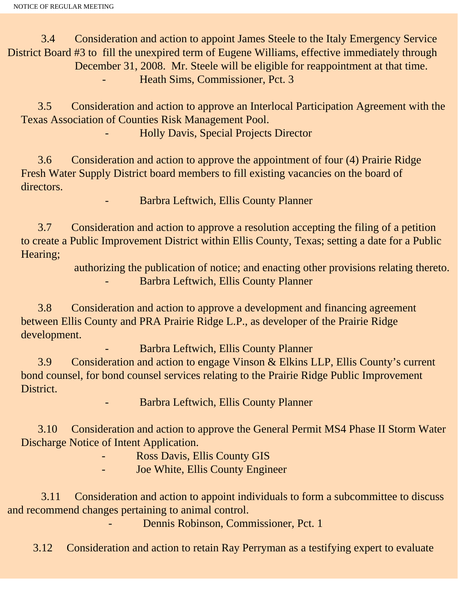3.4 Consideration and action to appoint James Steele to the Italy Emergency Service District Board #3 to fill the unexpired term of Eugene Williams, effective immediately through December 31, 2008. Mr. Steele will be eligible for reappointment at that time. - Heath Sims, Commissioner, Pct. 3

 3.5 Consideration and action to approve an Interlocal Participation Agreement with the Texas Association of Counties Risk Management Pool.

- Holly Davis, Special Projects Director

 3.6 Consideration and action to approve the appointment of four (4) Prairie Ridge Fresh Water Supply District board members to fill existing vacancies on the board of directors.

- Barbra Leftwich, Ellis County Planner

 3.7 Consideration and action to approve a resolution accepting the filing of a petition to create a Public Improvement District within Ellis County, Texas; setting a date for a Public Hearing;

> authorizing the publication of notice; and enacting other provisions relating thereto. - Barbra Leftwich, Ellis County Planner

 3.8 Consideration and action to approve a development and financing agreement between Ellis County and PRA Prairie Ridge L.P., as developer of the Prairie Ridge development.

- Barbra Leftwich, Ellis County Planner

 3.9 Consideration and action to engage Vinson & Elkins LLP, Ellis County's current bond counsel, for bond counsel services relating to the Prairie Ridge Public Improvement District.

- Barbra Leftwich, Ellis County Planner

 3.10 Consideration and action to approve the General Permit MS4 Phase II Storm Water Discharge Notice of Intent Application.

- Ross Davis, Ellis County GIS

Joe White, Ellis County Engineer

 3.11 Consideration and action to appoint individuals to form a subcommittee to discuss and recommend changes pertaining to animal control.

Dennis Robinson, Commissioner, Pct. 1

3.12 Consideration and action to retain Ray Perryman as a testifying expert to evaluate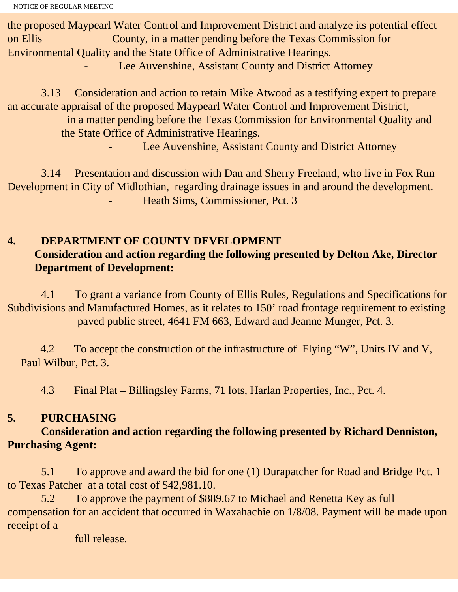the proposed Maypearl Water Control and Improvement District and analyze its potential effect on Ellis County, in a matter pending before the Texas Commission for Environmental Quality and the State Office of Administrative Hearings. Lee Auvenshine, Assistant County and District Attorney

 3.13 Consideration and action to retain Mike Atwood as a testifying expert to prepare an accurate appraisal of the proposed Maypearl Water Control and Improvement District, in a matter pending before the Texas Commission for Environmental Quality and the State Office of Administrative Hearings. Lee Auvenshine, Assistant County and District Attorney

 3.14 Presentation and discussion with Dan and Sherry Freeland, who live in Fox Run Development in City of Midlothian, regarding drainage issues in and around the development. Heath Sims, Commissioner, Pct. 3

# **4. DEPARTMENT OF COUNTY DEVELOPMENT Consideration and action regarding the following presented by Delton Ake, Director Department of Development:**

 4.1 To grant a variance from County of Ellis Rules, Regulations and Specifications for Subdivisions and Manufactured Homes, as it relates to 150' road frontage requirement to existing paved public street, 4641 FM 663, Edward and Jeanne Munger, Pct. 3.

 4.2 To accept the construction of the infrastructure of Flying "W", Units IV and V, Paul Wilbur, Pct. 3.

4.3 Final Plat – Billingsley Farms, 71 lots, Harlan Properties, Inc., Pct. 4.

# **5. PURCHASING**

# **Consideration and action regarding the following presented by Richard Denniston, Purchasing Agent:**

 5.1 To approve and award the bid for one (1) Durapatcher for Road and Bridge Pct. 1 to Texas Patcher at a total cost of \$42,981.10.

 5.2 To approve the payment of \$889.67 to Michael and Renetta Key as full compensation for an accident that occurred in Waxahachie on 1/8/08. Payment will be made upon receipt of a

full release.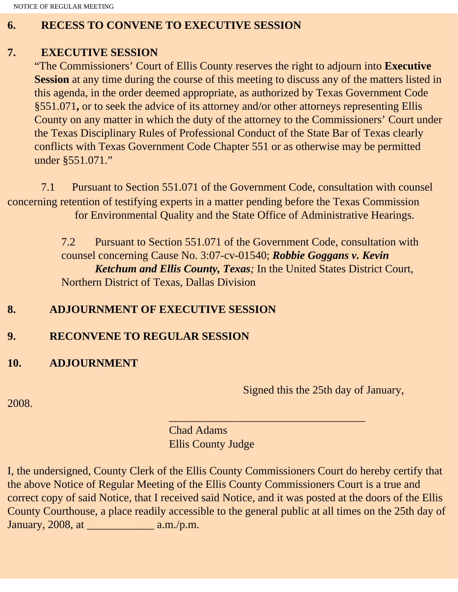NOTICE OF REGULAR MEETING

#### **6. RECESS TO CONVENE TO EXECUTIVE SESSION**

#### **7. EXECUTIVE SESSION**

"The Commissioners' Court of Ellis County reserves the right to adjourn into **Executive Session** at any time during the course of this meeting to discuss any of the matters listed in this agenda, in the order deemed appropriate, as authorized by Texas Government Code §551.071**,** or to seek the advice of its attorney and/or other attorneys representing Ellis County on any matter in which the duty of the attorney to the Commissioners' Court under the Texas Disciplinary Rules of Professional Conduct of the State Bar of Texas clearly conflicts with Texas Government Code Chapter 551 or as otherwise may be permitted under §551.071."

 7.1 Pursuant to Section 551.071 of the Government Code, consultation with counsel concerning retention of testifying experts in a matter pending before the Texas Commission for Environmental Quality and the State Office of Administrative Hearings.

> 7.2 Pursuant to Section 551.071 of the Government Code, consultation with counsel concerning Cause No. 3:07-cv-01540; *Robbie Goggans v. Kevin Ketchum and Ellis County, Texas;* In the United States District Court, Northern District of Texas, Dallas Division

# **8. ADJOURNMENT OF EXECUTIVE SESSION**

# **9. RECONVENE TO REGULAR SESSION**

# **10. ADJOURNMENT**

Signed this the 25th day of January,

2008.

 $\overline{\phantom{a}}$  , and the set of the set of the set of the set of the set of the set of the set of the set of the set of the set of the set of the set of the set of the set of the set of the set of the set of the set of the s Chad Adams Ellis County Judge

I, the undersigned, County Clerk of the Ellis County Commissioners Court do hereby certify that the above Notice of Regular Meeting of the Ellis County Commissioners Court is a true and correct copy of said Notice, that I received said Notice, and it was posted at the doors of the Ellis County Courthouse, a place readily accessible to the general public at all times on the 25th day of January, 2008, at \_\_\_\_\_\_\_\_\_\_\_\_ a.m./p.m.